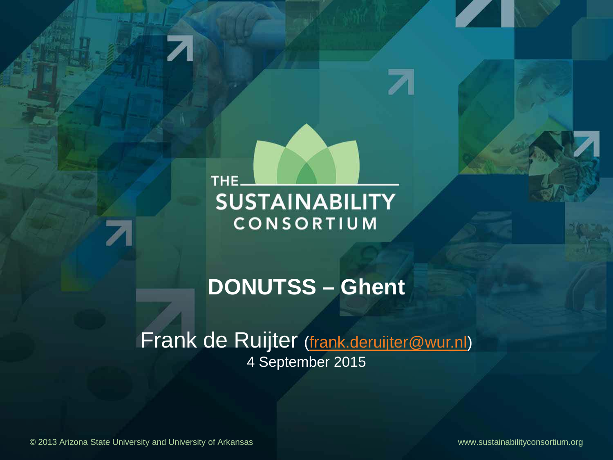THE<sub>-</sub> **SUSTAINABILITY** CONSORTIUM

# **DONUTSS – Ghent**

Frank de Ruijter [\(frank.deruijter@wur.nl\)](mailto:frank.deruijter@wur.nl) 4 September 2015

© 2013 Arizona State University and University of Arkansas www.sustainabilityconsortium.org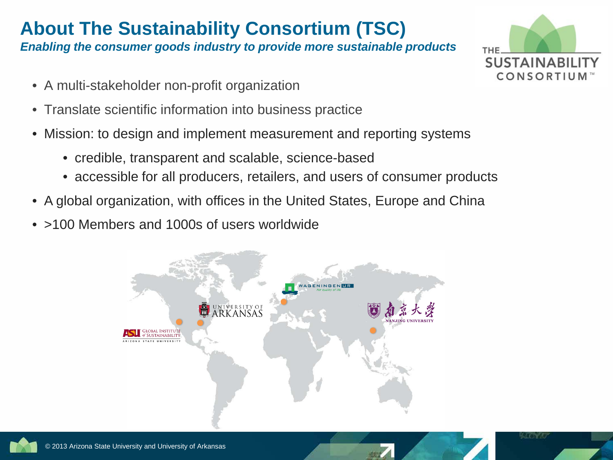## **About The Sustainability Consortium (TSC)**

*Enabling the consumer goods industry to provide more sustainable products*

- A multi-stakeholder non-profit organization
- Translate scientific information into business practice
- Mission: to design and implement measurement and reporting systems
	- credible, transparent and scalable, science-based
	- accessible for all producers, retailers, and users of consumer products
- A global organization, with offices in the United States, Europe and China
- >100 Members and 1000s of users worldwide





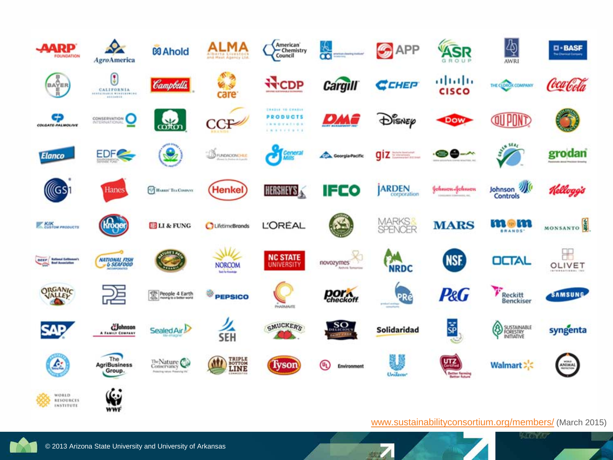

[www.sustainabilityconsortium.org/members/](http://www.sustainabilityconsortium.org/members/) (March 2015)

 $\sqrt{2}$ 

**Report**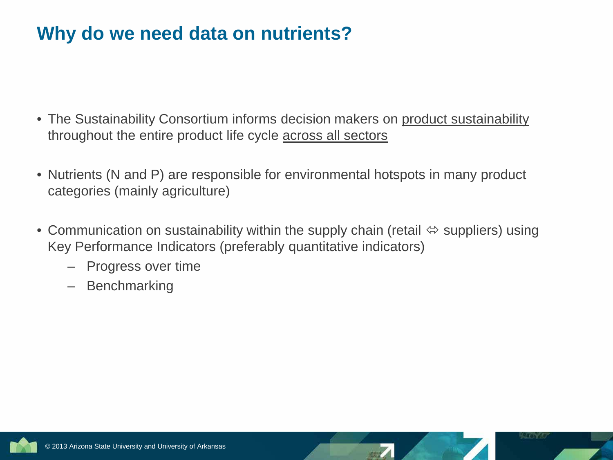## **Why do we need data on nutrients?**

- The Sustainability Consortium informs decision makers on product sustainability throughout the entire product life cycle across all sectors
- Nutrients (N and P) are responsible for environmental hotspots in many product categories (mainly agriculture)
- Communication on sustainability within the supply chain (retail  $\Leftrightarrow$  suppliers) using Key Performance Indicators (preferably quantitative indicators)
	- Progress over time
	- Benchmarking

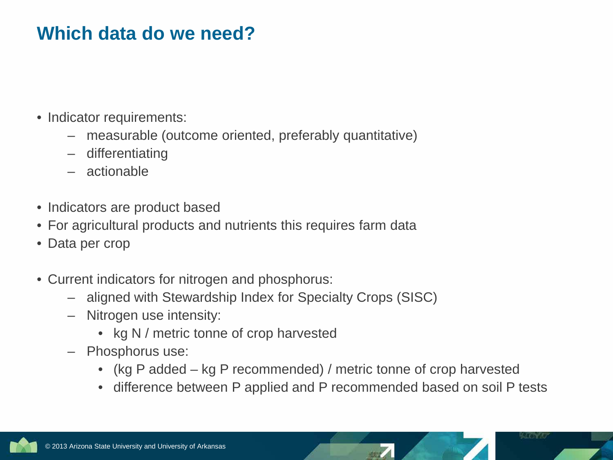## **Which data do we need?**

- Indicator requirements:
	- measurable (outcome oriented, preferably quantitative)
	- differentiating
	- actionable
- Indicators are product based
- For agricultural products and nutrients this requires farm data
- Data per crop
- Current indicators for nitrogen and phosphorus:
	- aligned with Stewardship Index for Specialty Crops (SISC)
	- Nitrogen use intensity:
		- kg N / metric tonne of crop harvested
	- Phosphorus use:
		- (kg P added kg P recommended) / metric tonne of crop harvested
		- difference between P applied and P recommended based on soil P tests

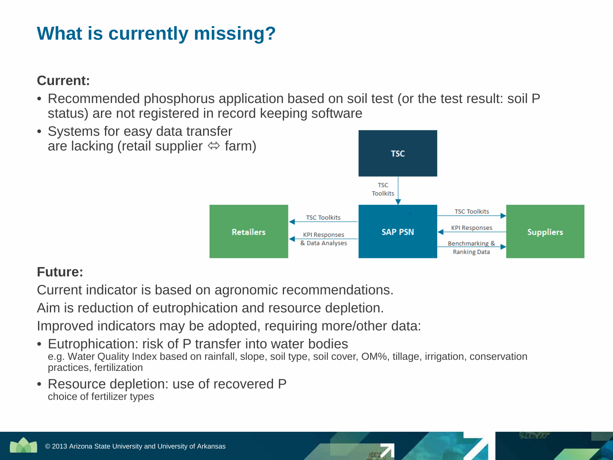## **What is currently missing?**

#### **Current:**

• Recommended phosphorus application based on soil test (or the test result: soil P status) are not registered in record keeping software



#### **Future:**

Current indicator is based on agronomic recommendations.

Aim is reduction of eutrophication and resource depletion.

Improved indicators may be adopted, requiring more/other data:

- Eutrophication: risk of P transfer into water bodies e.g. Water Quality Index based on rainfall, slope, soil type, soil cover, OM%, tillage, irrigation, conservation practices, fertilization
- Resource depletion: use of recovered P choice of fertilizer types